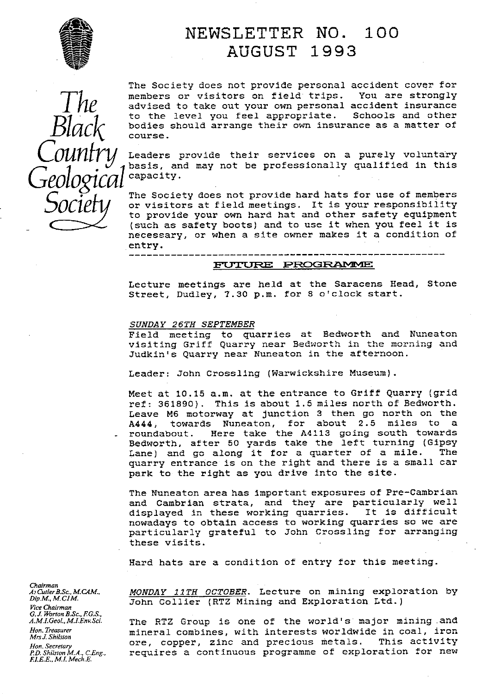

## NEWSLETTER NO. 100 AUGUST 1993

*counfr*- $\mathcal{S}^{\mathcal{O}}$ 

The Society does not provide personal accident cover for *members* or visitors on field trips. You are strongly advised to take out your own personal accident insurance *Black* to the level you feel appropriate. Schools and other bodies should arrange their own insurance as a matter of course.

Leaders provide their services on a purely voluntary basis, and may not be professionally qualified in this *Geological* capacity.

y to provide your own hard hat and other safety equipment The Society does not provide hard hats for use of members or visitors at field meetings. It is your responsibility (such as safety boots) and to use it when you feel it is necessary, or when a site owner makes it a condition of entry.

#### **PUTURE PROGRAMME**

Lecture meetings are held at the Saracens Head, Stone Street, Dudley, 7.30 p.m. for 8 o'clock start.

#### SUNDAY 26TH SEPTEMBER

Field meeting to quarries at Bedworth and Nuneaton visiting Griff Quarry near Bedworth in the morning and Judkln's Quarry near Nuneaton in the afternoon.

Leader: John Crossling (Warwickshire Museum).

Meet at 10.15 a.m. at the entrance to Griff Quarry (grid ref: 361890) . This is about 1.5 miles north of Bedworth. Leave M6 motorway at junction 3 then go north on the A444, towards Nuneaton, for about 2.5 miles to a roundabout. Here take the A4113 going south towards Bedworth, after 50 yards take the left turning (Gipsy Lane) and go along it for a quarter of a mile. quarry entrance is on the right and there is a small car park to the right as you drive into the site.

The Nuneaton area has important exposures of Pre-Cambrian and Cambrian strata, and they are particularly well displayed In these working quarries. It is difficult nowadays to obtain access to working quarries so we are particularly grateful to John Crossling for arranging these visits.

Hard hats are a condition of entry for this meeting.

*MONDAY 11TH OCTOBER*. Lecture on mining exploration by John Collier (RTZ Mining and Exploration Ltd.)

*A.M.LGeol,,M.IEm.Sci.* The RTZ Group is one of the world's major mining and mineral combines, with interests worldwide in coal, iron<br>ore, copper, zinc and precious metals. This activity *Hinsi.Binison*<br>*Hon.Secretary* ore, copper, zinc and precious metals.<br>*P.D.Shilston M.A., C.Eng.,* requires a continuous programme of explo requires a continuous programme of exploration for new

*Chairman<br>A: Cutler B.Sc., M.CAM.,<br>Dip.M., M.CIM. Vice Chairman G. J. Worton B.Sc., F.G.S., A.M.I.Geol., M.I.Env.Sci. Mrs J. Shilsion EJ.R.E., M.L Mech.E*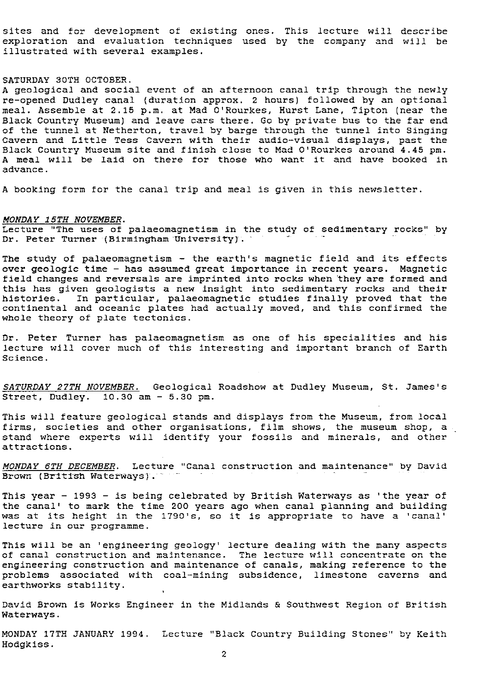sites and for development of existing ones. This lecture will *describe* exploration and evaluation techniques used by the company and will be illustrated with several examples.

#### SATURDAY 30TH OCTOBER.

A geological and social event of an afternoon canal trip through the newly re-opened Dudley canal (duration approx. 2 hours) followed by an optional meal. Assemble at 2.15 p.m. at Mad O'Rourkes, Hurst Lane, Tipton (near the Black Country Museum) and leave cars there. Go by private bus to the far end of the tunnel at Netherton, travel by barge through the tunnel into Singing Cavern and Little Tess Cavern with their audio-visual displays, past the Black Country Museum site and finish close to Mad O'Rourkes around 4.45 pm. A meal will be laid on there for those who want it and have booked in advance.

booking form for the canal trip and meal is given in this newsletter.

#### *MONDAY 15TH NOVEMBER .*

Lecture "The uses of palaeomagnetism in the study of sedimentary rocks" by Dr. Peter Turner (Birmingham University).

The study of palaeomagnetism - the earth's magnetic field and its effects over geologic time - has assumed great importance in recent years. Magnetic field changes and reversals are imprinted into rocks when they are formed and this has given geologists a new insight into sedimentary rocks and their histories. In particular, palaeomagnetic studies finally proved that the continental and oceanic plates had actually moved, and this confirmed the whole theory of plate tectonics.

Dr. Peter Turner has palaeomagnetisrn as *one of his* specialities and his lecture will cover much of this interesting and important branch of Earth Science.

*SATURDAY 27TH NOVEMBER.* Geological Roadshow at Dudley Museum, St. James's Street, Dudley.  $10.30$  am  $-5.30$  pm.

This will feature geological stands and displays from the Museum, from local firms, societies and other organisations, film shows, *the museum* shop, a stand where experts will identify your fossils and minerals, and other attractions.

MONDAY 6TH DECEMBER. Lecture "Canal construction and maintenance" by David Brown (British Waterways).

This year - 1993 - is being celebrated by British Waterways as 'the year of the canal' to mark the time 200 years ago when canal planning and building was at its height in the 1790's, so it is appropriate to have a 'canal' lecture in our programme.

This will be an 'engineering geology' lecture dealing with the many aspects of canal construction and maintenance. The lecture will concentrate on the engineering construction and maintenance of canals, making reference to the problems associated with coal-mining subsidence, limestone caverns and earthworks stability.

David Brown is Works Engineer in the Midlands & Southwest Region of British Waterways.

MONDAY 17TH JANUARY 1994. Lecture "Black Country Building Stones" by Keith Hodgkiss.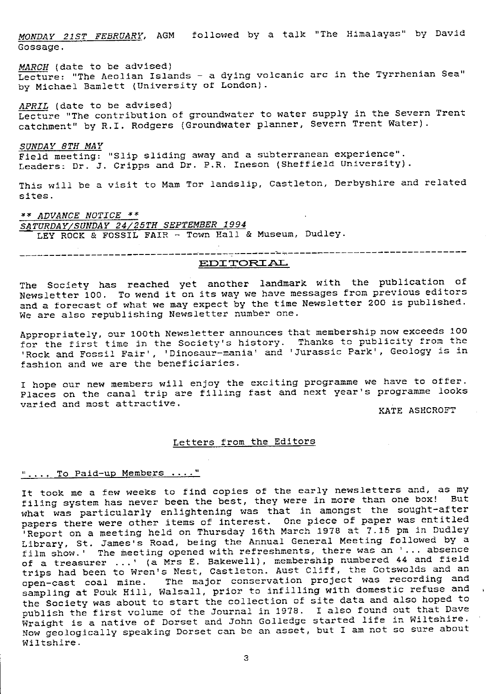*MONDAY 21ST FEBRUARY, AGM* followed by a talk "The Himalayas" by David Gossage.

MARCH (date to be advised) Lecture: "The Aeolian Islands - a dying volcanic arc in the Tyrrhenian Sea" by Michael Bamlett (University of London).

APRIL (date to be advised) Lecture "The contribution of groundwater to water supply in the Severn Trent catchment" by R.I. Rodgers (Groundwater planner, Severn Trent Water).

*SUNDAY 8TH MAY*

Field meeting: "Slip sliding away and a subterranean experience". Leaders: Dr. J. Cripps and Dr. P.R. meson (Sheffield University).

This will be a visit to Mam Tor landslip, Castleton, Derbyshire and related sites.

\*\* ADVANCE NOTICE \*\* *SATURDAY/SUNDAY 24 25TH SEPTEMBER 1994* LEY ROCK & FOSSIL FAIR - Town Hall & Museum, Dudley.

#### **EDITORIAL**

The Society has reached yet another landmark with the publication of Newsletter 100. To wend it *on its way we* have messages from previous editors and a forecast of what we may expect by the time Newsletter 200 is published. We are also republishing Newsletter number one.

Appropriately, our 100th Newsletter announces that membership now exceeds 100 for the first time in the Society's history. Thanks to publicity from the 'Rock and Fossil Fair', 'Dinosaur-mania' and 'Jurassic Park', Geology is in fashion and we are the beneficiaries.

I hope our new members will enjoy the exciting programme we have to offer. Places on the canal trip are filling fast and next year's programme looks varied and most attractive.

KATE ASHCROFT

#### Letters from the Editors

#### ".... To Paid-up Members ...."

It took me a few weeks to find copies of the early newsletters and, as my filing system has never been the best, they were in more than one box! But what was particularly enlightening was *that in amongst the sought-after* papers there were other items of interest. One piece of paper was entitled Report on a meeting held on Thursday 16th March 1978 at 7.15 pm in Dudley Library, St. James's Road, being the Annual General Meeting followed by a film show.' The meeting opened with refreshments, there was an '... absence of a treasurer ... ' (a Mrs E. Bakewell) , membership numbered 44 and field trips had been to Wren's Nest, Castleton. Aust Cliff, the Cotswolds and an open-cast coal mine. The major conservation project was recording and sampling at Pouk Hill, Walsall, prior to infilling with domestic refuse and the Society was about to start the collection of site data and also hoped to publish the first volume of the Journal in 1978. I also found out that Dave Wraight is a native of Dorset and John Golledge started life in Wiltshire. Now geologically speaking Dorset can be an asset, but I am not so sure about Wiltshire.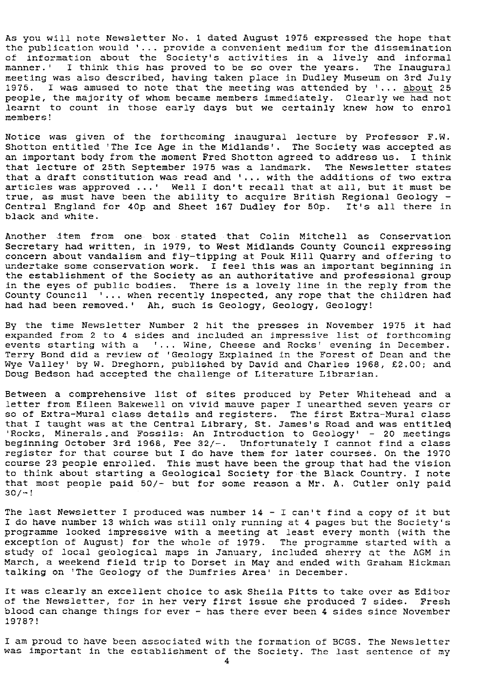As you will note Newsletter No. 1 dated August 1975 expressed the hope that the publication would '... provide a convenient medium for the dissemination of information about the Society's activities in a lively and informal manner.' I think this has proved to be so over the years. The Inaugural meeting was also described, having taken place in Dudley Museum on 3rd July 1975. I was amused to note that the meeting was attended by '... about 25 people, the majority of whom became members immediately. Clearly we had not learnt to count in those early days but we certainly knew how to enrol members!

Notice was given of the forthcoming inaugural lecture by Professor F.W. Shotton entitled 'The Ice Age in the Midlands'. The Society was accepted as an important body from the moment Fred Shotton agreed to address us. I think that lecture of 25th September 1975 was a landmark. The Newsletter states that a draft constitution was read and '... with the additions of two extra articles was approved ...' Well I don't recall that at all, but it must be true, as must have been the ability to acquire British Regional Geology - Central England for 40p and Sheet 167 Dudley for 50p. It's all there in black and white.

Another item from one box stated that Colin Mitchell as Conservation Secretary had written, in 1979, to West Midlands County Council expressing concern about vandalism and fly-tipping at Pouk Hill Quarry and offering to undertake some conservation work. I feel this was an important beginning in the establishment of the Society as an authoritative and professional group in the eyes of public bodies. There is a lovely line in the reply from the County Council  $\overline{\phantom{a}}$ ... when recently inspected, any rope that the children had had had been removed.' Ah, such is Geology, Geology, Geology!

By the time Newsletter Number 2 hit the presses in November 1975 it had expanded from 2 to 4 sides and included an impressive list of forthcoming events starting with a '... Wine, Cheese and Rocks' evening in December. Terry Bond did a review of 'Geology Explained in the Forest of Dean and the Wye Valley' by W. Dreghorn, published by David and Charles 1968, £2.00; and Doug Bedson had accepted the challenge of Literature Librarian.

Between a comprehensive list of sites produced by Peter Whitehead and a letter from Eileen Bakewell on vivid mauve paper I unearthed seven years or so of Extra-Mural class details and registers. The first Extra-Mural class that I taught was at the Central Library, St. James's Road and was entitled 'Rocks, Minerals and Fossils: An Introduction to Geology' - 20 meetings beginning October 3rd 1958, Fee 32/-. Unfortunately I cannot find a class register for that course but I do have them- for later courses. On the 1970 course 23 people enrolled. This must have been the group that had the vision to think about starting a Geological Society for-the Black Country. I note that most people paid 50/- but for some reason a Mr. A. Cutler only paid 30/-!

The last Newsletter I produced was number 14 - I can't find a copy of it but I do have number 13 which was still only running at 4 pages but the Society's programme looked impressive with a meeting at least every month (with the exception of August) for the whole of 1979. The programme started with a study of local geological maps in January, included sherry at the AGM in March, a weekend field trip to Dorset in May and ended with Graham Hickman talking on 'The Geology of the Dumfries Area' in December.

It was clearly an excellent choice to ask Sheila Pitts to take over as Editor of the Newsletter, for in her very first issue she produced 7 sides. Fresh blood can change things for ever - has there ever been 4 sides since November 1978?'.

I am proud to have been associated with the formation of BCGS. The Newsletter was important in the establishment of the Society. The last sentence of my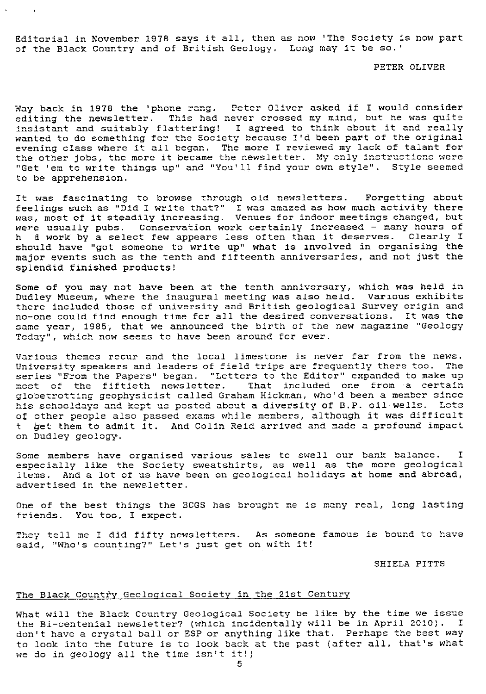Editorial in November 1978 says it all, then as now 'The Society is now part of the Black Country and of British Geology. Long may it be so.'

 $\sim$ 

#### PETER OLIVER

Way back in 1978 the 'phone rang. Peter Oliver asked if I would consider editing the newsletter. This had never crossed my mind, but he was quite insistant and suitably flattering! I agreed to think about it and really wanted to do something for the Society because I'd been part of the original evening class where it all began. The more I reviewed my lack of talant for the other jobs, the more it became the newsletter. My only instructions were "Get 'em to write things up" and "You'll find your own style". Style seemed to be apprehension.

It was fascinating to browse through old newsletters. Forgetting about feelings such as "Did I write that?" I was amazed as how much activity there was, most of it steadily increasing. Venues for indoor meetings changed, bu were usually pubs. Conservation work certainly increased - many hours of f work by a select few appears less often than it deserves. Clearly I should have "got someone to write up" what is involved in organising the major events such as the tenth and fifteenth anniversaries, and not just the splendid finished products!

Some of you may not have been at the tenth anniversary, which was held in Dudley Museum, where the inaugural meeting was also held. Various exhibits there included those of university and British geological Survey origin and no-one could find enough time for all the desired conversations. it was the same year, 1985, that we announced the birth of the new magazine "Geology Today", which now seems to have been around for ever.

Various themes recur and the local limestone is never far from the news. University speakers and leaders of field trips are frequently there too. The series "From the Papers" began. "Letters to the Editor" expanded to make up<br>most of the fiftieth newsletter. That included one from a certain That included one from a certain globetrotting geophysicist called Graham Hickman, who'd been a member since his schooldays and kept us posted about a diversity of B.P. oil wells. Lots of other people also passed exams while members, although it was difficult<br>t. bet them to admit it.. And Colin Reid arrived and made a profound impact t 4et them to admit it. And Colin Reid arrived and made a profound impact on Dudley geology.

Some members have organised various sales to swell our bank balance. I especially like the Society sweatshirts, as well as the more geological items. And a lot of us have been on geological holidays at home and abroad, advertised in the newsletter.

One of the best things the BCGS has brought me is many real, long lasting friends. You too, I expect.

They tell me I did fifty newsletters. As someone famous is bound to have said, "Who's counting?" Let's just get on with it!

#### SHIELA PITTS

#### The Black Country Geological Society in the 21st Century

What will the Black Country Geological Society be like by the time we issue the Bi-centenial newsletter? (which incidentally will be in April 2010). I don't have a crystal ball or ESP or anything like that. Perhaps the best way to look into the future is to look back at the past (after all, that's what we do in geology all the time isn't it!)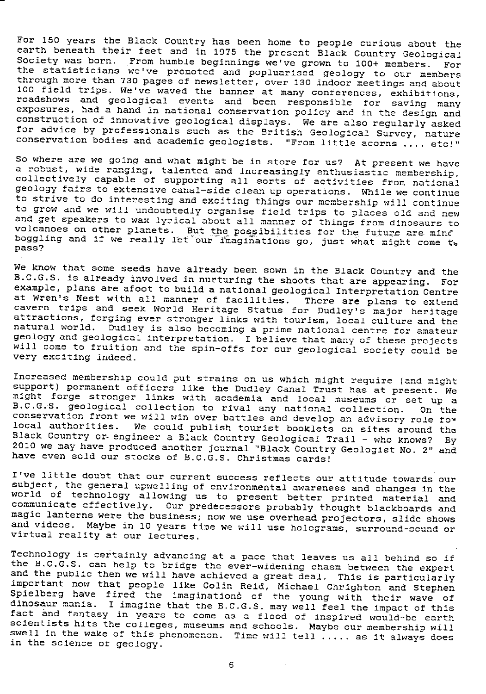For 150 years the Black Country has been home to people curious about the earth beneath their *feet* and in 1975 the present Black Country Geological Society was born. From humble beginnings we've grown to 100+ members. For the statisticians we've promoted and popluarised geology to our members through more than 730 pages of newsletter, over 130 indoor meetings and about 100 field trips. We've waved the banner at many conferences, exhibitions, roadshows and geological events and been responsible for saving many exposures, had a hand in national conservation policy and in the design and construction of innovative geological displays. We are also regularly asked for advice by professionals such as the British Geological Survey, nature conservation bodies and academic geologists. "From little acorns .... etc!'

*So where are we going* and what might be in store for us? At present we have a robust, wide ranging, talented and increasingly enthusiastic membership, collectively capable of supporting all sorts of activities from national geology fairs to extensive canal-side clean up operations. While we continue to strive to do interesting and exciting things our membership will continue to grow and we will undoubtedly organise field trips to places old and new and get speakers to wax lyrical about all manner of things from dinosaurs to volcanoes on other *planets. But* the possibilities for the future are. mine boggling and if we really let our imaginations go, just what might come t. pass?

We know that some seeds have already been sown in the Black Country and the B.C.G.S. is already involved in nurturing the shoots that are appearing. For example, plans are afoot to build a national geological Interpretation Centre at Wren's Nest with all manner of facilities. There are plans to extend cavern trips and seek World Heritage Status *for* Dudley's major heritage attractions, forging ever stronger links with tourism, local culture and the attractions, forging ever stronger links with tourism, local culture and the<br>natural world. Dudley is also becoming a prime national centre for amateur geology and geological interpretation. I believe that many of these projects will come to fruition and the spin-offs for our geological society could be very exciting indeed.

Increased membership could put strains on us which might require (and might support) permanent officers like the Dudley Canal Trust has at present. We might forge stronger links *with* academia and local museums or set up *<sup>a</sup>* B.C.G.S. geological collection to rival any national collection. conservation front we will win over battles and develop an advisory role fo\*<br>local authorities. We could publish tourist booklets on sites around the Black Country or engineer a Black Country Geological Trail - who knows? By 2010 we may have produced another journal. "Black Country Geologist No. 2" and have even sold our stocks of B.C.G.S. Christmas cards!

I've little doubt that our current success reflects our attitude towards our subject, the general upwelling of environmental awareness and changes in the world of technology allowing us to present better printed material and communicate effectively. Our predecessors probably thought blackboards and magic lanterns were the business; now we use overhead projectors, slide shows and videos. Maybe in 10 years time we will use holograms, surround-sound or virtual reality at our lectures.

Technology *is* certainly advancing at *a* pace that leaves us all behind so if the B.C.G.S. can help to bridge the ever-widening *chasm* between the expert and the public then we will have achieved a great deal. This is particularly important now that people like Colin Reid, Michael Chrighton and Stephen Spielberg have fired the imaginations of the young with their wave of dinosaur mania. I imagine that the B.C.G.S. may well feel the impact of this fact and fantasy in years to come as a flood of inspired would-be earth scientists hits the colleges, museums and schools. Maybe our membership will *swell* in the wake of this phenomenon. Time will tell ..... as it always does in the science *of* geology.

6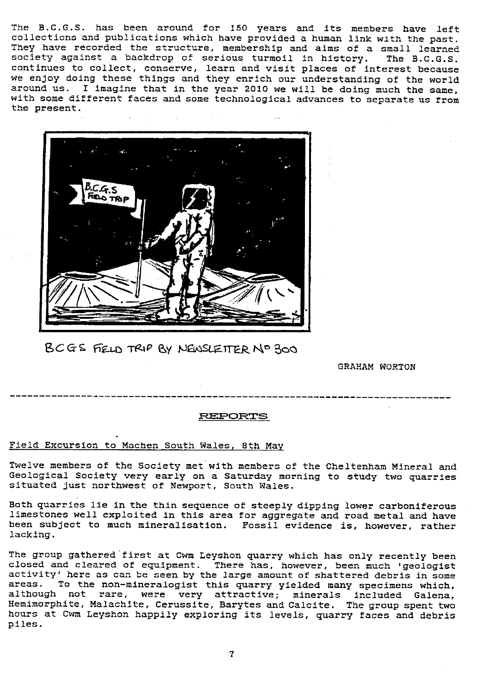The B.C.G.S. has been around for 150 years and its members have left collections and publications which have provided a human link with the past. They have recorded the structure, membership and aims of a small learned society against a backdrop of serious turmoil in history. The B.C.G.S. continues to collect, conserve, learn and visit places of interest becaus we enjoy doing these things and they enrich our understanding of the world around us. I imagine that in the year 2010 we will be doing much the same, with some different faces and some technological advances to separate us from the present.



B C G S FIELD TRIP BY NEWSLETTER NO 300

GRAHAM WORTON

#### REPORTS

#### Field Excursion to Machen South Wales, 8th Ma

Twelve members of the Society met with members of the Cheltenham Mineral and Geological Society very early on a Saturday morning to study two quarries situated just northwest of Newport, South Wales.

Both quarries lie in the thin sequence of steeply dipping lower carboniferous limestones well exploited in this area for aggregate and road metal and have been subject to much mineralisation. Fossil evidence is, however, rather lacking.

The group gathered first at Cwm Leyshon quarry which has only recently been closed and cleared of equipment. There has, however, been much 'geologist activity' here as can be seen by the large amount of shattered debris in some areas. To the non-mineralogist this quarry yielded many specimens which, although not rare, were very attractive; minerals included Galena, Hemimorphite, Malachite, Cerussite, Barytes and Calcite. The group spent two hours at Cwm Leyshon happily exploring its levels, quarry faces and debris piles.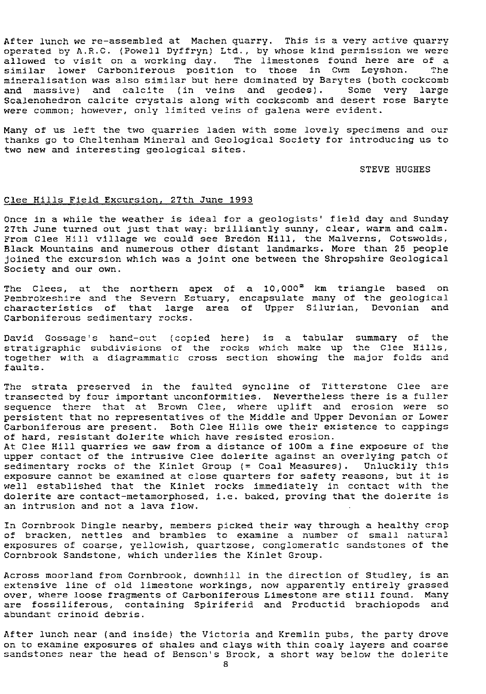After lunch we re-assembled at Machen quarry. This is a very active quarry operated by A.R.C. (Powell Dyffryn) Ltd., by whose kind permission we were allowed to visit on a working day. The limestones found here are of a<br>similar lower Carboniferous position to those in Cwm Levshon. The similar lower Carboniferous position to those in Cwm Leyshon. mineralisation was also similar but here dominated by Barytes (both cockcomb and massive) and calcite (in veins and geodes). Some very large Scalenohedron calcite crystals along with cockscomb and desert rose Baryte were common; however, only limited veins of galena were evident.

Many of us left the two quarries laden with some lovely specimens and our thanks go to Cheltenham Mineral and Geological Society for introducing us to two new and interesting geological sites.

#### STEVE HUGHES

#### Clee Hills Field Excursion, 27th June 1993

Once in a while the weather is ideal for a geologists' field day and Sunday 27th June turned out just that way: brilliantly sunny, clear, warm and calm. From Clee Hill village we could see Bredon Hill, the Malverns, Cotswolds, Black Mountains and numerous other distant landmarks. More than 25 people joined the excursion which was a joint one between the Shropshire Geological Society and our own.

The Clees, at the northern apex of a  $10,000^2$  km triangle based on Pembrokeshire and the Severn Estuary, encapsulate many of the geological characteristics of that large area of Upper Silurian, Devonian and Carboniferous sedimentary rocks.

David Gossage's hand-cut (copied here) is a tabular summary of the stratigraphic subdivisions of the rocks which make up the Clee Hills, together with a diagrammatic cross section showing the major folds and faults.

The strata preserved in the faulted syncline of Titterstone Clee are transected by four important unconformities. Nevertheless there is a fuller sequence there that at Brown Clee, where uplift and erosion were so persistent that no representatives of the Middle and Upper Devonian or Lower Carboniferous are present. Both Clee Hills owe their existence to cappings of hard, resistant dolerite which have resisted erosion.

At Clee Hill quarries we saw from a distance of 100m a fire exposure of the upper contact of the intrusive Clee dolerite against an overlying patch of sedimentary rocks of the Kinlet Group (= Coal Measures). Unluckily this exposure cannot be examined at close quarters for safety reasons, but it is well established that the Kinlet rocks immediately in contact with the dolerite are contact-metamorphosed, i.e. baked, proving that the dolerite is an intrusion and not a lava flow.

In Cornbrook Dingle nearby, members picked their way through a healthy crop of bracken, nettles and brambles to examine a number of small natural exposures of coarse, yellowish, quartzose, conglomeratic sandstones of the Cornbrook Sandstone, which underlies the Kinlet Group.

Across moorland from Cornbrook, downhill in the direction of Studley, is an extensive line of old limestone workings, now apparently entirely grassed over, where loose fragments of Carboniferous Limestone are still found. Many are fossiliferous, containing Spiriferid and Productid brachiopods and abundant crinoid debris.

After lunch near (and inside) the Victoria and Kremlin pubs, the party drove on to examine exposures of shales and clays with thin coaly layers and coarse sandstones near the head of Benson's Brock, a short way below the dolerite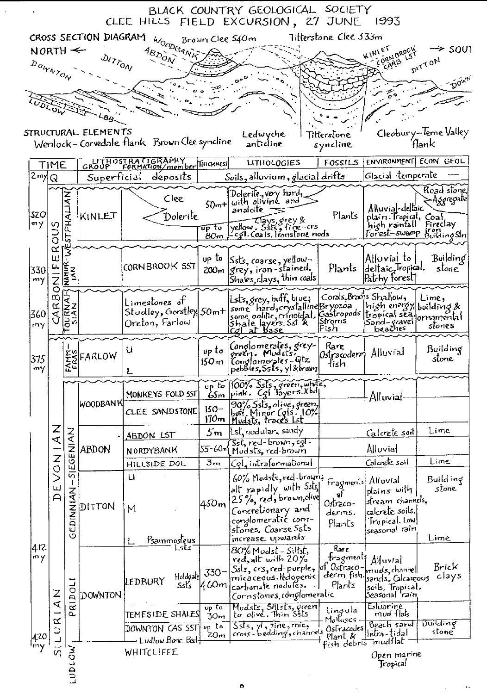| BLACK COUNTRY GEOLOGICAL SOCIETY<br>CLEE HILLS FIELD EXCURSION, 27 JUNE 1993                                                                             |                                                                               |                     |             |                                                             |                                                  |                                                                                                                                                                   |                                                                  |                                                                                                    |                                        |  |  |  |
|----------------------------------------------------------------------------------------------------------------------------------------------------------|-------------------------------------------------------------------------------|---------------------|-------------|-------------------------------------------------------------|--------------------------------------------------|-------------------------------------------------------------------------------------------------------------------------------------------------------------------|------------------------------------------------------------------|----------------------------------------------------------------------------------------------------|----------------------------------------|--|--|--|
|                                                                                                                                                          | Titterstone Clee 533m<br>CROSS SECTION DIAGRAM<br>Brown Clee 540m<br>WOODGANK |                     |             |                                                             |                                                  |                                                                                                                                                                   |                                                                  |                                                                                                    |                                        |  |  |  |
| $NORTH \leftarrow$                                                                                                                                       |                                                                               |                     |             |                                                             | N BROOK                                          | ≻ soui                                                                                                                                                            |                                                                  |                                                                                                    |                                        |  |  |  |
| $A_{B_{\mathcal{D}_{O_{\Lambda\backslash\widetilde{V}}}}}}$<br>$\omega_{\prime\gamma_{\stackrel{>}{O_{\Lambda_{\nu}}}}}$<br>DITTON<br>ias<br>DOWNTON     |                                                                               |                     |             |                                                             |                                                  |                                                                                                                                                                   |                                                                  |                                                                                                    |                                        |  |  |  |
|                                                                                                                                                          |                                                                               |                     |             |                                                             |                                                  |                                                                                                                                                                   |                                                                  |                                                                                                    |                                        |  |  |  |
| <b>DLOW</b>                                                                                                                                              |                                                                               |                     |             |                                                             |                                                  |                                                                                                                                                                   |                                                                  |                                                                                                    |                                        |  |  |  |
| 66                                                                                                                                                       |                                                                               |                     |             |                                                             |                                                  |                                                                                                                                                                   |                                                                  |                                                                                                    |                                        |  |  |  |
| Cleobury-leme Valley<br>STRUCTURAL ELEMENTS<br>Ledwyche<br>Tilterstone<br>Wenlock-Corvedale flank Brown Clee syncline<br>ʻflank<br>anticline<br>syncline |                                                                               |                     |             |                                                             |                                                  |                                                                                                                                                                   |                                                                  |                                                                                                    |                                        |  |  |  |
| CROUP FORMATION/member THICKNESS<br>FOSSILS<br>LITHOLOGIES<br>TIME                                                                                       |                                                                               |                     |             |                                                             |                                                  |                                                                                                                                                                   |                                                                  |                                                                                                    | ENVIRONMENT ECON GEOL                  |  |  |  |
| $2$ my $Q$                                                                                                                                               |                                                                               |                     | Superficial | deposits                                                    |                                                  | Soils, alluvium, glacial drifts                                                                                                                                   |                                                                  | Glacial-temperate                                                                                  |                                        |  |  |  |
| 320<br>$m\gamma$                                                                                                                                         |                                                                               | STPHALIAN           | KINLET      | Clee<br>Dolerite                                            | $\overline{\mathfrak{u}p}$ to<br>80 <sub>m</sub> | Dolerile, very hard,<br>$50m$ + with oliving and<br>analcite<br>Jellow, Eavs, grey &<br>Jellow, Ssts, fine-crs<br>-cgl. Coals, tronsfone nods                     | Plants                                                           | Alluvial-dellaic<br>plain Tropical, Coal<br>high rainfall<br>Forest-swamp from                     | Road stone,<br>>Aggregate <br>Fireclay |  |  |  |
|                                                                                                                                                          | O<br>∝                                                                        |                     |             |                                                             |                                                  |                                                                                                                                                                   |                                                                  |                                                                                                    |                                        |  |  |  |
| 330<br>my                                                                                                                                                | ш<br>Ż                                                                        | <b>NATUR</b><br>IAN |             | CORNBROOK SST                                               | up to                                            | up <sup>Io</sup> Ssts, coarse, yellow-<br>200 <sub>m</sub> grey, iron-stained.<br>$Shales, clays, thin\ coals$                                                    |                                                                  | Alluvial to:<br>Plants deltaic, Tropical,<br>Patchy forest                                         | Building<br>stone <sup>'</sup>         |  |  |  |
| 360<br>my                                                                                                                                                | 0<br>CG)<br>∝<br>ব                                                            | <b>TOURN</b>        |             | Limestones of<br>Studley, Gorstley  50m+ <br>Oreton, Farlow |                                                  | lsts,grey,buff,blue;<br>some hard, crystalline Bryozoa<br>some oolilic, crinoidal,<br>Shale layers, Sst &<br>Cgl at base                                          | $Conals,$ Brachs Shallow,<br>Stroms<br>Fish                      | high energy building&<br>Gastropods  tropical sēq.<br>Sand-gravel<br>beaches                       | $L$ ime,<br>ornamental<br>stones       |  |  |  |
| 375<br>my                                                                                                                                                |                                                                               |                     | ESFARLOW    | U                                                           | up to<br>150 m                                   | Conglomerates, grey-<br>oreen. Mudstsi<br>  Conglamerates = Qtz<br>  pebbles, Ssts, yl &brain                                                                     | Rare<br>Ostracoderm Alluvial<br>tish                             |                                                                                                    | Building<br>stone                      |  |  |  |
|                                                                                                                                                          | $\frac{Z}{4}$<br>DEVON1<br>Z<br>द<br>$\alpha$<br>$\supset$                    |                     | WOODBAN KI  | MONKEYS FOLD SST                                            |                                                  | $\sigma_{\rm up}$ to 100% $\bar{S}_{\rm s}$ ts, green, white,<br>$65m$ $ pink$ . $Cg$ $ 3yers'$ $Xbd $                                                            |                                                                  | Alluvial                                                                                           |                                        |  |  |  |
|                                                                                                                                                          |                                                                               |                     |             | CLEE SANDSTONE                                              | $150-$<br>170 <sub>m</sub>                       | 90% Ssts, olive, green,<br>buff. Minor (gls., 10%)<br>Mudsts, traces Lst                                                                                          |                                                                  |                                                                                                    |                                        |  |  |  |
|                                                                                                                                                          |                                                                               |                     |             | ABDON LST                                                   | 5m                                               | Lst, nodular, sandy                                                                                                                                               |                                                                  | Calcrete soil                                                                                      | Lime                                   |  |  |  |
|                                                                                                                                                          |                                                                               | NAINIST             | abdon       | NORDYBANK                                                   | 55-60m                                           | Sst, red-brown, cgl.<br>Mudsts, red-brown                                                                                                                         |                                                                  | Alluvial                                                                                           |                                        |  |  |  |
|                                                                                                                                                          |                                                                               |                     |             | HILLSIDE DOL                                                | 3m                                               | Col, intraformational                                                                                                                                             |                                                                  | Calcrete soil                                                                                      | Lime                                   |  |  |  |
| 412<br>$m\gamma$<br>420                                                                                                                                  |                                                                               | - ZKINNIC           | DITTON      | u<br>M<br>Psammosteus                                       | 450m                                             | 60% Mudsts, red brown;<br>lalt rapidly with Ssts,<br>25%, red, brown, olive<br>Concretionary and<br>conglomeratic com-<br>stones, Coarse Ssts<br>increase upwards | Fragments <br>$\mathbf{f}$<br>$0$ strz $co-$<br>derms.<br>Plants | Alluvial<br>plains with<br>stream channels.<br>calcrete soils.<br>Tropical. Low<br>seasonal rain   | Building<br>stone<br>Lime              |  |  |  |
|                                                                                                                                                          |                                                                               | RIDOLI<br>a         | DOWNTON     | Lsts<br>Holdcalcl<br>LEDBURY<br><b>SsÉs</b>                 | $330 -$<br>460m                                  | 80% Mudst - Siltst,<br>red, alt with 20%<br>Ssts, crs, red-purple, lol Ostraco-<br>rnicáceous Redogenic<br>carboriate nodules.<br>Cornstones, conglomeratic       | Rare<br>tragments<br>derm fish.<br>Plants                        | Alluvial<br>muds, channell<br>sands, Calcareous<br>soils, Tropical,<br>Seasonal 'ra'n<br>Estuarine | Brick<br>clays                         |  |  |  |
|                                                                                                                                                          |                                                                               |                     |             | $\tt{TEMESIDE}$ SHALES                                      | $v_{p}$ to<br>30 <sub>m</sub>                    | Mudsts, Silfsts, green<br>to olive. Thin Ssts                                                                                                                     | Lingula<br>Molluscs                                              | mud flak                                                                                           |                                        |  |  |  |
|                                                                                                                                                          |                                                                               |                     |             | DOWNTON CAS SST <br>- Ludlow Bone Bedf                      | $\n  up$ to<br>20m                               | $s$ sts, $y1$ , fine, mic,<br>cross-bedding, channels                                                                                                             | Ostracodes<br>Plant <sub>K</sub><br>fish debris                  | Beach sand<br>lintra-tidal<br>mudflat                                                              | िर्णातांतट्<br>stone                   |  |  |  |
|                                                                                                                                                          | $rac{1}{5}$                                                                   | <b>MOTODT</b>       |             | WHITCLIFFE                                                  |                                                  |                                                                                                                                                                   |                                                                  | Open marine<br>Tropical                                                                            |                                        |  |  |  |
|                                                                                                                                                          |                                                                               |                     |             |                                                             |                                                  |                                                                                                                                                                   |                                                                  |                                                                                                    |                                        |  |  |  |
|                                                                                                                                                          |                                                                               |                     |             |                                                             |                                                  | $\bullet$                                                                                                                                                         |                                                                  |                                                                                                    |                                        |  |  |  |

 $\mathcal{A}^{\pm}$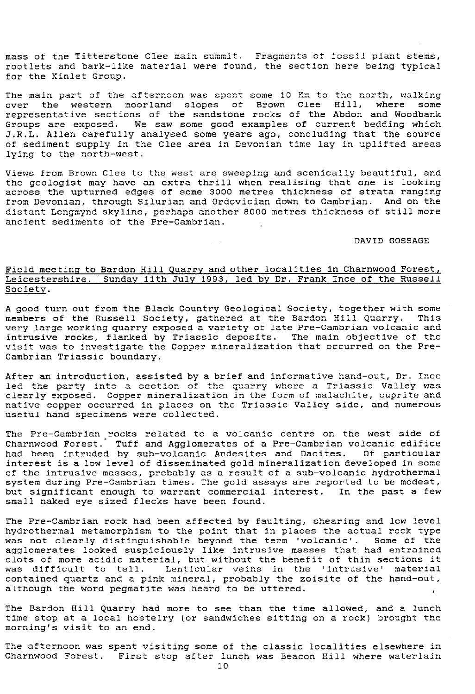mass of the Titterstone Clee main summit. Fragments of fossil plant stems, rootlets and bark-like material were found, the section here being typical for the Kinlet Group.

The main part of the afternoon was spent some 10 Km to the north, walking<br>over the western moorland slopes of Brown Clee Hill, where some over the western moorland slopes of Brown Clee Hill, representative sections of the sandstone rocks of the Abdon and Woodbank Groups are exposed. We saw some good examples of current bedding which J.R.L. Allen carefully analysed some years ago, concluding that the source of sediment supply in the Clee area in Devonian time lay in uplifted areas lying to the north-west.

Views from Brown Clee to the west are sweeping and scenically beautiful, and the geologist may have an extra thrill when realising that one is looking across the upturned edges of some 3000 metres thickness of strata ranging from Devonian, through Silurian and Ordovician down to Cambrian. And on the distant Longmynd skyline, perhaps another 8000 metres thickness of still more ancient sediments of the Pre-Cambrian.

#### DAVID GOSSAGE

#### Field meeting to Bardon Hill Quarry and other localities in Charnwood Forest, Leicestershire. Sunday 11th July 1993, led by Dr. Frank Ince of the Russell Society .

A good turn out from the Black Country Geological Society, together with some A good turn out from the Black Country of the Russell Society, gathered at the Bardon Hill Quarry. This members of the Russell Society, gathered at the Bardon Hill Quarry. very large working quarry exposed a variety of late Pre-Cambrian volcanic and intrusive rocks, flanked by Triassic deposits. The main objective of the visit was to investigate the Copper mineralization that occurred on the Pre-Cambrian Triassic boundary.

After an introduction, assisted by a brief and informative hand-out, Dr. Ince led the party into a section of the quarry where a Triassic Valley was clearly exposed. Copper mineralization in the form of malachite, cuprite and native copper occurred in places on the Triassic Valley side, and numerous useful hand specimens were collected.

The Pre-Cambrian rocks related to a volcanic centre on the west side of Charnwood Forest. Tuff and Agglomerates of a Pre-Cambrian volcanic edifice had been intruded by sub-volcanic Andesites and Dacites. Of particular interest is a low level of disseminated gold mineralization developed in some of the intrusive masses, probably as a result of a sub-volcanic hydrothermal system *during Pre*-Cambrian times. The gold assays are reported to be modest, but significant enough to warrant commercial interest. In the past a few small naked eye sized flecks have been found.

The Pre-Cambrian rock had been affected by faulting, shearing and low level hydrothermal metamorphism to the point that in places the actual rock type was not clearly distinguishable beyond the term 'volcanic'. Some of the agglomerates looked suspiciously like intrusive masses that had entrained clots of more acidic material, but without the benefit of thin sections it was difficult to tell. Lenticular veins in the 'intrusive' material contained quartz and a pink mineral, probably the zoisite of the hand-out, although the word pegmatite was heard to be uttered.

The Bardon Hill Quarry had more to see than the time allowed, and a lunch time stop at a local hostelry (or sandwiches sitting on a rock) brought the morning's visit to an end.

The afternoon was spent visiting some of the classic localities elsewhere in Charnwood Forest. First stop after lunch was Beacon Hill where waterlain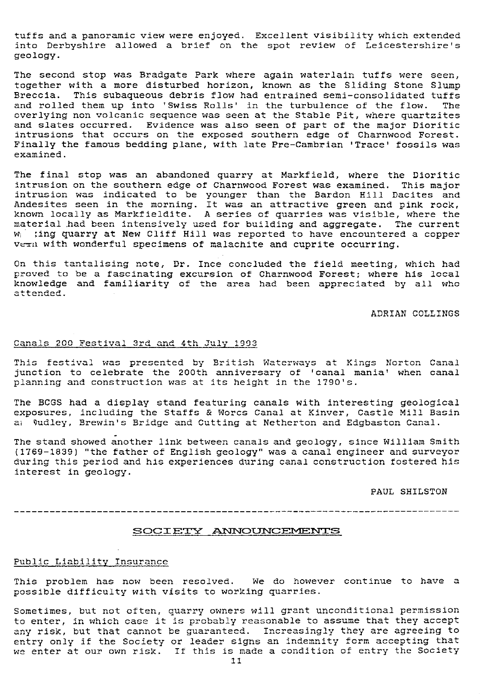tuffs and a panoramic view were enjoyed. Excellent visibility which extended into Derbyshire allowed a brief on the spot review of Leicestershire's geology.

The second stop was Bradgate Park where again waterlain tuffs were seen, together with a more disturbed horizon, known as the Sliding Stone Slump Breccia. This subaqueous debris flow had entrained semi-consolidated tuffs and rolled them up into 'Swiss Rolls' in the turbulence of the flow. The and rolled them up into 'Swiss Rolls' in the turbulence of the flow. overlying non volcanic sequence was seen at the Stable Pit, where quartzites and slates occurred. Evidence was also seen of part of the major Dioriti intrusions that occurs on the exposed southern edge of Charnwood Forest. Finally the famous bedding plane, with late Pre-Cambrian 'Trace' fossils was examined.

The final stop was an abandoned quarry at Markfield, where the Dioritic intrusion on the southern edge of Charnwood Forest was examined. This major intrusion was indicated to be younger than the Bardon Hill Dacites and Andesites seen in the morning. It was an attractive green and pink rock, known locally as Markfieldite. A series of quarries was visible, where the material had been intensively used for building and aggregate. The current *W;* ping quarry at New Cliff Hill was reported to have encountered a copper Vern with wonderful specimens of malachite and cuprite occurring.

On this tantalising note, Dr. Ince concluded the field meeting, which had proved to be a fascinating excursion of Charnwood Forest; where his local knowledge and familiarity of the area had been appreciated by all who attended.

ADRIAN COLLINGS

#### Canals 200 Festival 3rd and 4th July 1903

This festival was presented by British Waterways at Kings Norton Canal junction to celebrate the 200th anniversary of 'canal mania' when canal planning and construction was at its height in the 1790's.

The BCGS had a display stand featuring canals with interesting geological exposures, including the Staffs & Wores Canal at Kinver, Castle Mill Basin al 0udley, Brewin's Bridge and Cutting at Netherton and Edgbaston Canal.

The stand showed another link between canals and geology, since William Smith ;1769-1839) "the father of English geology" was a canal engineer and surveyor during this period and his experiences during canal construction fostered his interest in geology.

PAUL SHILSTON

#### 

#### SOCIETY ANNOUNCEMENTS

#### Public Liability Insurance

This problem has now been resolved. We do however continue to have a possible difficulty with visits to working quarries.

Sometimes, but not often, quarry owners will grant unconditional permission to enter, in which case it is probably reasonable to assume that they accept any risk, but that cannot be guaranteed. Increasingly they are agreeing to entry only if the Society or leader signs an indemnity form accepting that we enter at our own risk. If this is made a condition of entry the Society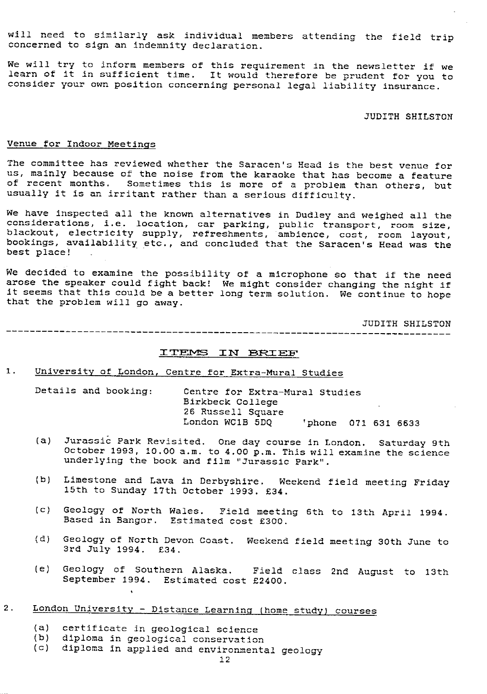will need to similarly ask individual members attending the field trip concerned to sign an indemnity declaration.

We will try to inform members of this requirement in the newsletter if we learn of it in sufficient time. It would therefore be prudent for you to consider your own position concerning personal legal liability insurance.

#### JUDITH SHILSTON

#### Venue for Indoor Meetings

The committee has reviewed whether the Saracen's Head is the best venue for us, mainly because of the noise from the karacke that has become a feature of recent months. Sometimes this is more of a problem than others, but usually it is an irritant rather than a serious difficulty.

We have inspected all the known alternatives in Dudley and weighed all the considerations, i.e. location, car parking, public transport, room size, blackout, electricity supply, refreshments, ambience, cost, room layout, bookings, availability etc., and concluded that the Saracen's Head was the best place!

We decided to examine the possibility of a microphone so that if the need arose the speaker could fight back! We might consider changing the night if it seems that this could be a better long term solution. We continue to hope that the problem will go away.

JUDITH SHILSTON

## ITEMS IN BRIEF

1. University of London, Centre for Extra-Mural Studies

Details and booking: Centre for Extra-Mural Studies Birkbeck College 26 Russell Square London WC1B 5DQ 'phone 071 631 6633

- (a) Jurassic Park Revisited. One day course in London. Saturday 9th October 1993, 10.00 a.m. to 4.00 p.m. This will examine the science underlying the book and film "Jurassic Park".
- (b) Limestone and Lava in Derbyshire. Weekend field meeting Friday 15th to Sunday 17th October 1993. £34.
- (c) Geology of North Wales. Field meeting 6th to 13th April 1994. Based in Bangor. Estimated cost £300.
- (d) Geology of North Devon Coast. Weekend field meeting 30th June to 3rd July 1994. £34.
- (e) Geology of Southern Alaska. Field class 2nd August to 13th September 1994. Estimated cost £2400.

### 2. London University - Distance Learning (home study) courses

(a) certificate in geological science<br>(b) diploma in geological conservation

,

- diploma in geological conservation
- (c) diploma in applied and environmental geology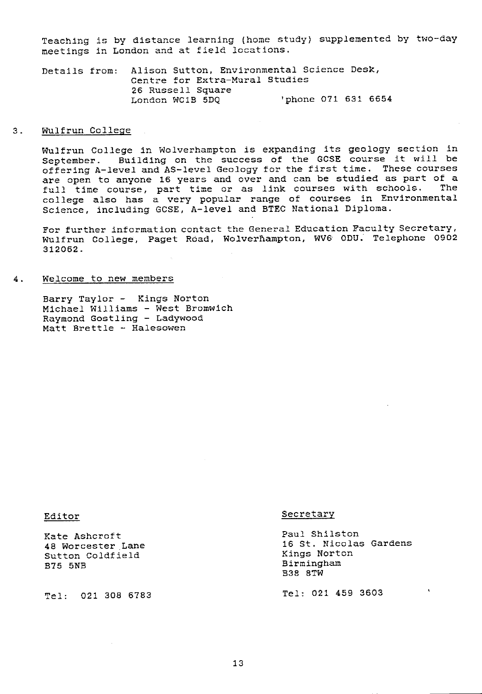Teaching is by distance learning (home study) supplemented by two-day meetings in London and at field locations.

Details from: Alison Sutton, Environmental Science Desk, Centre for Extra-Mural Studies 26 Russell Square<br>London WC1B 5DQ 'phone 071 631 6654

#### 3. Wulfrun College

Wulfrun College in Wolverhampton is expanding its geology section in September. Building on the success of the GCSE course it will be offering A-level and AS-level Geology for the first time. These courses are open to anyone 16 years and over and can be studied as part of a full time course, part time or as link courses with schools. The college also has a very popular range of courses in Environmental Science, including GCSE, A-level and BTEC National Diploma.

For further information contact the General Education Faculty Secretary, Wulfrun College, Paget Road, Wolverhampton, WV6 ODU. Telephone 0902 312062.

#### 4. Welcome to new members

Barry Taylor - Kings Norton Michael Williams - West Bromwich Raymond Gostling - Ladywood Matt Brettle - Halesowen

Exate Ashcroft<br>
18 Worcester Lane<br>
18 St. Nicolas Sutton Coldfield<br>B75 5NB

Tel: 021 308 6783 Tel: 021 459 3603

#### Editor Secretary

16 St. Nicolas Gardens<br>Kings Norton Birmingham B38 3TW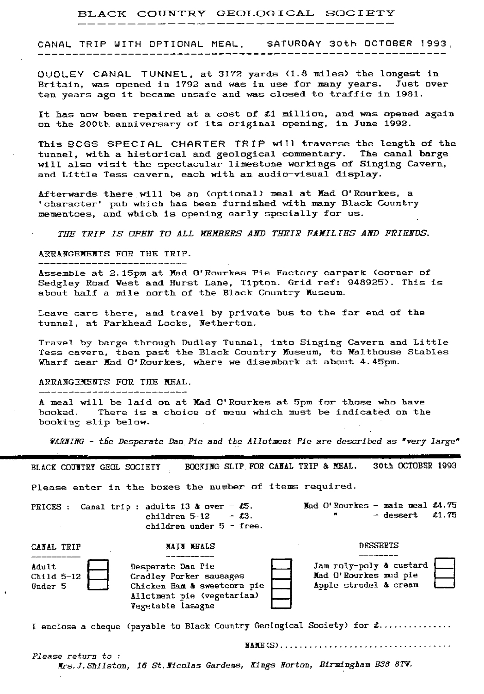### BLACK COUNTRY GEOLOGICAL SOCIETY

### CANAL TRIP WITH OPTIONAL MEAL. SATURDAY 30th OCTOBER 1993,

DUDLEY CANAL TUNNEL, at 3172 yards (1.8 miles) the longest in Britain, was opened in 1792 and was in use for many years. Just over *ten years ago* it became unsafe and was closed to traffic in 1981.

It has now been repaired at a cost of £1 million, and was opened again on the 200th anniversary of its original opening, in June 1992.

This SCGS SPECIAL CHARTER TRIP will traverse the length of the tunnel, with a historical and geological. commentary. The canal barge will also visit the spectacular limestone workings of Singing Cavern, and Little Tess cavern, each with an audio-visual display.

Afterwards there will be an (optional) meal at Mad O'Rourkes, a ' character' pub which has been furnished with many Black Country mementoes, and which is opening early specially for us.

THE TRIP IS OPEN TO ALL MEMBERS AND THEIR FAMILIES AND FRIENDS.

## ARRANGEMENTS FOR THE TRIP.

*Assemble at* 2.15pm at Mad O'Rourkes Pie Factory carpark (corner of Sedgley Road West and Hurst Lane, Tipton. Grid ref: 948925). This is about half a mile north of the Black Country Museum.

Leave cars there, and travel by private bus to the far end of the tunnel, at Parkhead Locks, Netherton.

Travel by barge *through* Dudley Tunnel, into Singing Cavern and Little Tess cavern, then past the Black Country Museum, to Malthouse Stables Wharf near Mad O'Rourkes, where we disembark at about 4.45pm.

#### ARRANGEMENTS FOR THE MEAL.

*A meal will be* laid on *at* Mad O'Rourkes at 5pm for those who have booked. There is a choice of menu which must be indicated on the booking slip below.

*VAR8ING -* tiie Desperate Dan Pie *and the* Allotment *Pie are described as 'very large"*

BLACK COUNTRY GEOL SOCIETY BOOKING SLIP FOR CANAL TRIP & MEAL. 30th OCTOBER 1993

Please enter in the boxes the number of items required.

PRICES : Canal trip : adults 13 & over -  $\text{\#}5$ . Mad O'Rourkes -- main meal  $\text{\#}4.75$ children  $5-12$  -  $\text{\textsterling}3$ . children under  $5 -$  free.

 $-$  dessert  $\pm 1.75$ 

| Adult<br>Child 5-12<br>Under 5 | Desperate Dan Pie<br>Cradley Porker sausages<br>Chicken Ham & sweetcorn pie<br>Allotment pie (vegetarian)<br>Vegetable lasagne | Jam roly-poly & custard<br>Mad O'Rourkes mud pie<br>Apple strudel & cream |  |
|--------------------------------|--------------------------------------------------------------------------------------------------------------------------------|---------------------------------------------------------------------------|--|

I enclose a cheque (payable to Black Country Geological Society) for  $t$ ..............

NAME(S) ...................................

Please return to : *Xrs. J. Shit stra<sup>p</sup> , 16 St.lficolas Gardens, Kings gorton, Birmingham H38 8TH'.*

CANAL TRIP **RAIN MEALS RAIN MEALS DESSERTS**